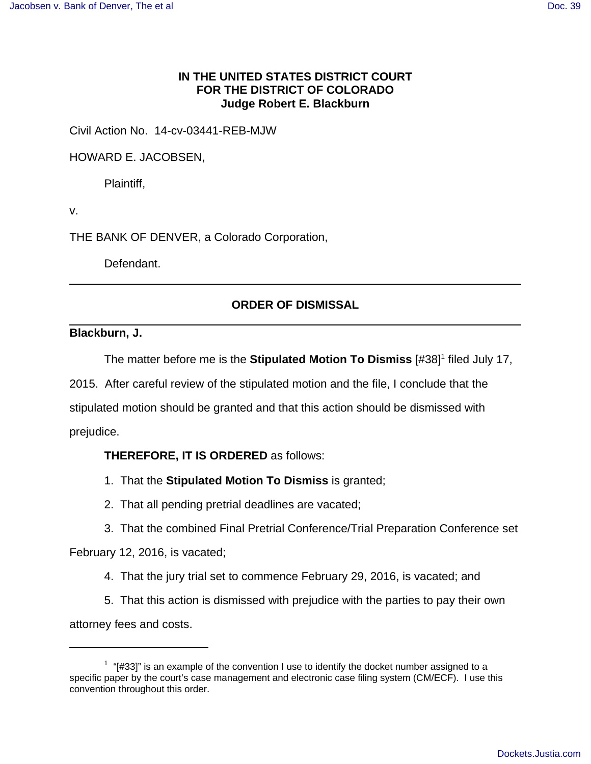## **IN THE UNITED STATES DISTRICT COURT FOR THE DISTRICT OF COLORADO Judge Robert E. Blackburn**

Civil Action No. 14-cv-03441-REB-MJW

HOWARD E. JACOBSEN,

Plaintiff,

v.

THE BANK OF DENVER, a Colorado Corporation,

Defendant.

# **ORDER OF DISMISSAL**

#### **Blackburn, J.**

The matter before me is the **Stipulated Motion To Dismiss** [#38]<sup>1</sup> filed July 17, 2015. After careful review of the stipulated motion and the file, I conclude that the stipulated motion should be granted and that this action should be dismissed with prejudice.

## **THEREFORE, IT IS ORDERED** as follows:

- 1. That the **Stipulated Motion To Dismiss** is granted;
- 2. That all pending pretrial deadlines are vacated;
- 3. That the combined Final Pretrial Conference/Trial Preparation Conference set

February 12, 2016, is vacated;

- 4. That the jury trial set to commence February 29, 2016, is vacated; and
- 5. That this action is dismissed with prejudice with the parties to pay their own

attorney fees and costs.

 $1$  "[#33]" is an example of the convention I use to identify the docket number assigned to a specific paper by the court's case management and electronic case filing system (CM/ECF). I use this convention throughout this order.